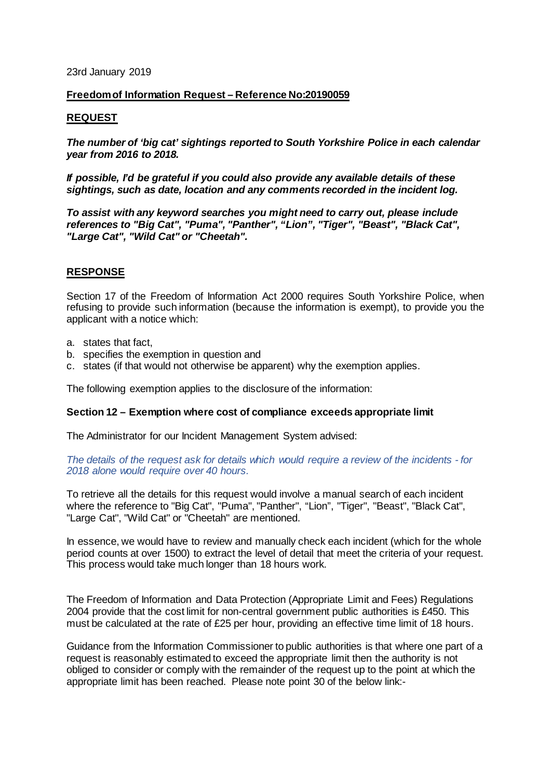### 23rd January 2019

# **Freedom of Information Request – Reference No:20190059**

## **REQUEST**

*The number of 'big cat' sightings reported to South Yorkshire Police in each calendar year from 2016 to 2018.*

*If possible, I'd be grateful if you could also provide any available details of these sightings, such as date, location and any comments recorded in the incident log.*

*To assist with any keyword searches you might need to carry out, please include references to "Big Cat", "Puma", "Panther", "Lion", "Tiger", "Beast", "Black Cat", "Large Cat", "Wild Cat" or "Cheetah".*

# **RESPONSE**

Section 17 of the Freedom of Information Act 2000 requires South Yorkshire Police, when refusing to provide such information (because the information is exempt), to provide you the applicant with a notice which:

- a. states that fact,
- b. specifies the exemption in question and
- c. states (if that would not otherwise be apparent) why the exemption applies.

The following exemption applies to the disclosure of the information:

## **Section 12 – Exemption where cost of compliance exceeds appropriate limit**

The Administrator for our Incident Management System advised:

*The details of the request ask for details which would require a review of the incidents - for 2018 alone would require over 40 hours.*

To retrieve all the details for this request would involve a manual search of each incident where the reference to "Big Cat", "Puma", "Panther", "Lion", "Tiger", "Beast", "Black Cat", "Large Cat", "Wild Cat" or "Cheetah" are mentioned.

In essence, we would have to review and manually check each incident (which for the whole period counts at over 1500) to extract the level of detail that meet the criteria of your request. This process would take much longer than 18 hours work.

The Freedom of Information and Data Protection (Appropriate Limit and Fees) Regulations 2004 provide that the cost limit for non-central government public authorities is £450. This must be calculated at the rate of £25 per hour, providing an effective time limit of 18 hours.

Guidance from the Information Commissioner to public authorities is that where one part of a request is reasonably estimated to exceed the appropriate limit then the authority is not obliged to consider or comply with the remainder of the request up to the point at which the appropriate limit has been reached. Please note point 30 of the below link:-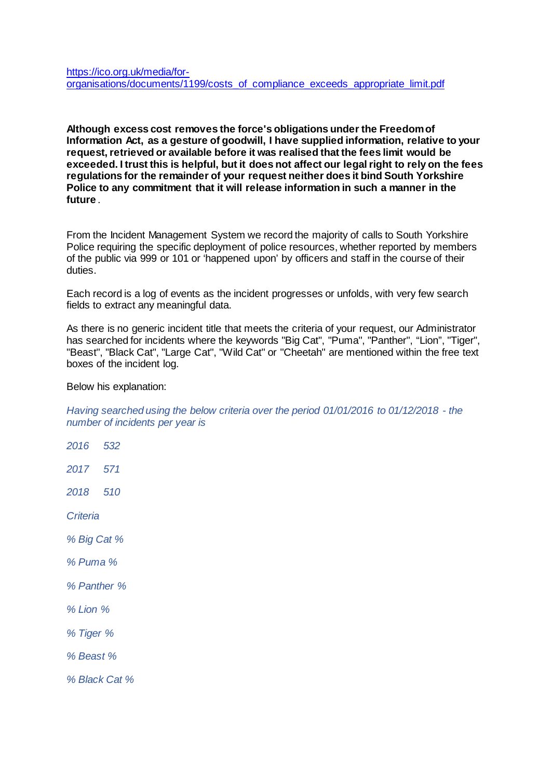**Although excess cost removes the force's obligations under the Freedom of Information Act, as a gesture of goodwill, I have supplied information, relative to your request, retrieved or available before it was realised that the fees limit would be exceeded. I trust this is helpful, but it does not affect our legal right to rely on the fees regulations for the remainder of your request neither does it bind South Yorkshire Police to any commitment that it will release information in such a manner in the future** *.*

From the Incident Management System we record the majority of calls to South Yorkshire Police requiring the specific deployment of police resources, whether reported by members of the public via 999 or 101 or 'happened upon' by officers and staff in the course of their duties.

Each record is a log of events as the incident progresses or unfolds, with very few search fields to extract any meaningful data.

As there is no generic incident title that meets the criteria of your request, our Administrator has searched for incidents where the keywords "Big Cat", "Puma", "Panther", "Lion", "Tiger", "Beast", "Black Cat", "Large Cat", "Wild Cat" or "Cheetah" are mentioned within the free text boxes of the incident log.

Below his explanation:

*Having searched using the below criteria over the period 01/01/2016 to 01/12/2018 - the number of incidents per year is* 

*2016 532 2017 571 2018 510 Criteria % Big Cat % % Puma % % Panther % % Lion % % Tiger % % Beast % % Black Cat %*